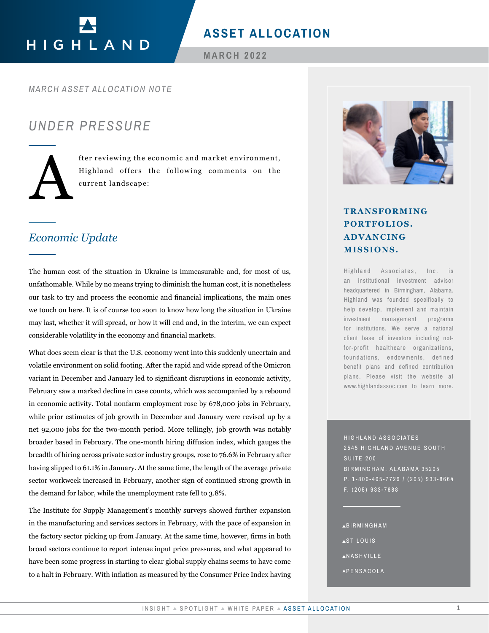# HIGHLAND

# **ASSET ALLOCATION**

**MARCH 2022**

#### *MARCH ASSET ALLOCATION NOTE*

## *UNDER PRESSURE*

fter reviewing the economic and market environment,<br>Highland offers the following comments on the<br>current landscape: Highland offers the following comments on the current landscape:

## *Economic Update*

The human cost of the situation in Ukraine is immeasurable and, for most of us, unfathomable. While by no means trying to diminish the human cost, it is nonetheless our task to try and process the economic and financial implications, the main ones we touch on here. It is of course too soon to know how long the situation in Ukraine may last, whether it will spread, or how it will end and, in the interim, we can expect considerable volatility in the economy and financial markets.

What does seem clear is that the U.S. economy went into this suddenly uncertain and volatile environment on solid footing. After the rapid and wide spread of the Omicron variant in December and January led to significant disruptions in economic activity, February saw a marked decline in case counts, which was accompanied by a rebound in economic activity. Total nonfarm employment rose by 678,000 jobs in February, while prior estimates of job growth in December and January were revised up by a net 92,000 jobs for the two-month period. More tellingly, job growth was notably broader based in February. The one-month hiring diffusion index, which gauges the breadth of hiring across private sector industry groups, rose to 76.6% in February after having slipped to 61.1% in January. At the same time, the length of the average private sector workweek increased in February, another sign of continued strong growth in the demand for labor, while the unemployment rate fell to 3.8%. TRANSFORMING<br> **IDENTIFY ASSET ALLOCATION**<br>
IDENTIFY AND VANCING<br>
IDENTIFY AND VANCING<br>
IDENTIFY AND VANCING<br>
Sympto diminalishe including the situation in Ukraine<br>
simplement and financial inspirations, the main ones<br>
inc

The Institute for Supply Management's monthly surveys showed further expansion in the manufacturing and services sectors in February, with the pace of expansion in the factory sector picking up from January. At the same time, however, firms in both broad sectors continue to report intense input price pressures, and what appeared to have been some progress in starting to clear global supply chains seems to have come to a halt in February. With inflation as measured by the Consumer Price Index having



# **PORTFOLIOS. ADVANCING MISSIONS.**

Highland Associates, Inc. is an institutional investment advisor headquartered in Birmingham, Alabama. Highland was founded specifically to help develop, implement and maintain investment management programs for institutions. We serve a national client base of investors including notfor-profit healthcare organizations, foundations, endowments, defined benefit plans and defined contribution plans. Please visit the website at www.highlandassoc.com to learn more.

HIGHLAND ASSOCIATES 2545 HIGHLAND AVENUE SOUTH SUITE 200 BIRMINGHAM, ALABAMA 35205 P. 1-800-405-7729 / (205) 933-8664 F. (205) 933-7688

- BIRMINGHAM
- **AST LOUIS**
- **ANASHVILLE**
- **APENSACOLA**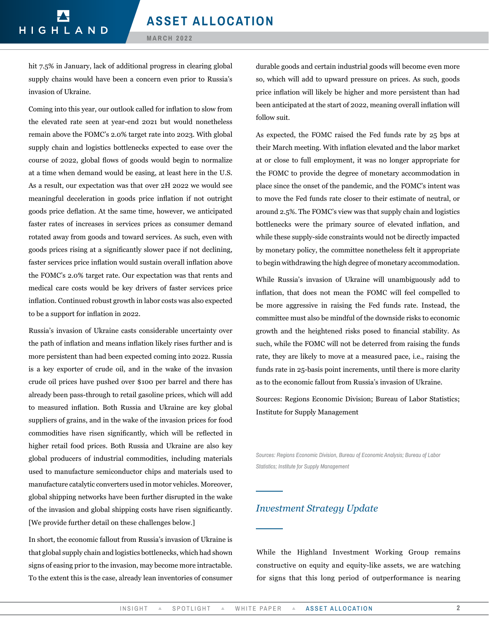hit 7.5% in January, lack of additional progress in clearing global supply chains would have been a concern even prior to Russia's invasion of Ukraine.

Coming into this year, our outlook called for inflation to slow from the elevated rate seen at year-end 2021 but would nonetheless remain above the FOMC's 2.0% target rate into 2023. With global supply chain and logistics bottlenecks expected to ease over the course of 2022, global flows of goods would begin to normalize at a time when demand would be easing, at least here in the U.S. As a result, our expectation was that over 2H 2022 we would see meaningful deceleration in goods price inflation if not outright goods price deflation. At the same time, however, we anticipated faster rates of increases in services prices as consumer demand rotated away from goods and toward services. As such, even with goods prices rising at a significantly slower pace if not declining, faster services price inflation would sustain overall inflation above the FOMC's 2.0% target rate. Our expectation was that rents and medical care costs would be key drivers of faster services price inflation. Continued robust growth in labor costs was also expected to be a support for inflation in 2022.

Russia's invasion of Ukraine casts considerable uncertainty over the path of inflation and means inflation likely rises further and is more persistent than had been expected coming into 2022. Russia is a key exporter of crude oil, and in the wake of the invasion crude oil prices have pushed over \$100 per barrel and there has already been pass-through to retail gasoline prices, which will add to measured inflation. Both Russia and Ukraine are key global suppliers of grains, and in the wake of the invasion prices for food commodities have risen significantly, which will be reflected in higher retail food prices. Both Russia and Ukraine are also key global producers of industrial commodities, including materials used to manufacture semiconductor chips and materials used to manufacture catalytic converters used in motor vehicles. Moreover, global shipping networks have been further disrupted in the wake of the invasion and global shipping costs have risen significantly. [We provide further detail on these challenges below.]

In short, the economic fallout from Russia's invasion of Ukraine is that global supply chain and logistics bottlenecks, which had shown signs of easing prior to the invasion, may become more intractable. To the extent this is the case, already lean inventories of consumer durable goods and certain industrial goods will become even more so, which will add to upward pressure on prices. As such, goods price inflation will likely be higher and more persistent than had been anticipated at the start of 2022, meaning overall inflation will follow suit.

As expected, the FOMC raised the Fed funds rate by 25 bps at their March meeting. With inflation elevated and the labor market at or close to full employment, it was no longer appropriate for the FOMC to provide the degree of monetary accommodation in place since the onset of the pandemic, and the FOMC's intent was to move the Fed funds rate closer to their estimate of neutral, or around 2.5%. The FOMC's view was that supply chain and logistics bottlenecks were the primary source of elevated inflation, and while these supply-side constraints would not be directly impacted by monetary policy, the committee nonetheless felt it appropriate to begin withdrawing the high degree of monetary accommodation.

While Russia's invasion of Ukraine will unambiguously add to inflation, that does not mean the FOMC will feel compelled to be more aggressive in raising the Fed funds rate. Instead, the committee must also be mindful of the downside risks to economic growth and the heightened risks posed to financial stability. As such, while the FOMC will not be deterred from raising the funds rate, they are likely to move at a measured pace, i.e., raising the funds rate in 25-basis point increments, until there is more clarity as to the economic fallout from Russia's invasion of Ukraine.

Sources: Regions Economic Division; Bureau of Labor Statistics; Institute for Supply Management

*Sources: Regions Economic Division, Bureau of Economic Analysis; Bureau of Labor Statistics; Institute for Supply Management* 

#### *Investment Strategy Update*

While the Highland Investment Working Group remains constructive on equity and equity-like assets, we are watching for signs that this long period of outperformance is nearing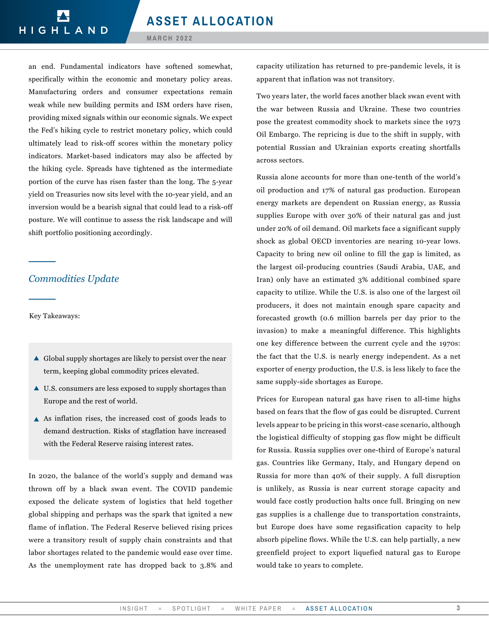an end. Fundamental indicators have softened somewhat, specifically within the economic and monetary policy areas. Manufacturing orders and consumer expectations remain weak while new building permits and ISM orders have risen, providing mixed signals within our economic signals. We expect the Fed's hiking cycle to restrict monetary policy, which could ultimately lead to risk-off scores within the monetary policy indicators. Market-based indicators may also be affected by the hiking cycle. Spreads have tightened as the intermediate portion of the curve has risen faster than the long. The 5-year yield on Treasuries now sits level with the 10-year yield, and an inversion would be a bearish signal that could lead to a risk-off posture. We will continue to assess the risk landscape and will shift portfolio positioning accordingly.

## *Commodities Update*

Key Takeaways:

- $\triangle$  Global supply shortages are likely to persist over the near term, keeping global commodity prices elevated.
- ▲ U.S. consumers are less exposed to supply shortages than Europe and the rest of world.
- $\triangle$  As inflation rises, the increased cost of goods leads to demand destruction. Risks of stagflation have increased with the Federal Reserve raising interest rates.

In 2020, the balance of the world's supply and demand was thrown off by a black swan event. The COVID pandemic exposed the delicate system of logistics that held together global shipping and perhaps was the spark that ignited a new flame of inflation. The Federal Reserve believed rising prices were a transitory result of supply chain constraints and that labor shortages related to the pandemic would ease over time. As the unemployment rate has dropped back to 3.8% and

capacity utilization has returned to pre-pandemic levels, it is apparent that inflation was not transitory.

Two years later, the world faces another black swan event with the war between Russia and Ukraine. These two countries pose the greatest commodity shock to markets since the 1973 Oil Embargo. The repricing is due to the shift in supply, with potential Russian and Ukrainian exports creating shortfalls across sectors.

Russia alone accounts for more than one-tenth of the world's oil production and 17% of natural gas production. European energy markets are dependent on Russian energy, as Russia supplies Europe with over 30% of their natural gas and just under 20% of oil demand. Oil markets face a significant supply shock as global OECD inventories are nearing 10-year lows. Capacity to bring new oil online to fill the gap is limited, as the largest oil-producing countries (Saudi Arabia, UAE, and Iran) only have an estimated 3% additional combined spare capacity to utilize. While the U.S. is also one of the largest oil producers, it does not maintain enough spare capacity and forecasted growth (0.6 million barrels per day prior to the invasion) to make a meaningful difference. This highlights one key difference between the current cycle and the 1970s: the fact that the U.S. is nearly energy independent. As a net exporter of energy production, the U.S. is less likely to face the same supply-side shortages as Europe.

Prices for European natural gas have risen to all-time highs based on fears that the flow of gas could be disrupted. Current levels appear to be pricing in this worst-case scenario, although the logistical difficulty of stopping gas flow might be difficult for Russia. Russia supplies over one-third of Europe's natural gas. Countries like Germany, Italy, and Hungary depend on Russia for more than 40% of their supply. A full disruption is unlikely, as Russia is near current storage capacity and would face costly production halts once full. Bringing on new gas supplies is a challenge due to transportation constraints, but Europe does have some regasification capacity to help absorb pipeline flows. While the U.S. can help partially, a new greenfield project to export liquefied natural gas to Europe would take 10 years to complete.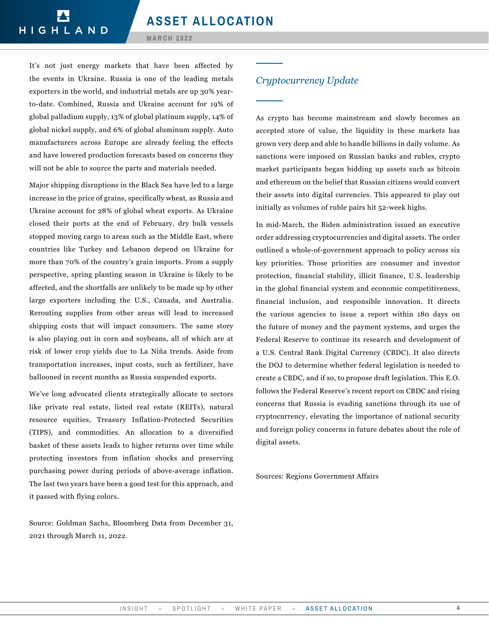It's not just energy markets that have been affected by the events in Ukraine. Russia is one of the leading metals exporters in the world, and industrial metals are up 30% yearto-date. Combined, Russia and Ukraine account for 19% of global palladium supply, 13% of global platinum supply, 14% of global nickel supply, and 6% of global aluminum supply. Auto manufacturers across Europe are already feeling the effects and have lowered production forecasts based on concerns they will not be able to source the parts and materials needed.

Major shipping disruptions in the Black Sea have led to a large increase in the price of grains, specifically wheat, as Russia and Ukraine account for 28% of global wheat exports. As Ukraine closed their ports at the end of February, dry bulk vessels stopped moving cargo to areas such as the Middle East, where countries like Turkey and Lebanon depend on Ukraine for more than 70% of the country's grain imports. From a supply perspective, spring planting season in Ukraine is likely to be affected, and the shortfalls are unlikely to be made up by other large exporters including the U.S., Canada, and Australia. Rerouting supplies from other areas will lead to increased shipping costs that will impact consumers. The same story is also playing out in corn and soybeans, all of which are at risk of lower crop yields due to La Niña trends. Aside from transportation increases, input costs, such as fertilizer, have ballooned in recent months as Russia suspended exports.

We've long advocated clients strategically allocate to sectors like private real estate, listed real estate (REITs), natural resource equities, Treasury Inflation-Protected Securities (TIPS), and commodities. An allocation to a diversified basket of these assets leads to higher returns over time while protecting investors from inflation shocks and preserving purchasing power during periods of above-average inflation. The last two years have been a good test for this approach, and it passed with flying colors.

Source: Goldman Sachs, Bloomberg Data from December 31, 2021 through March 11, 2022.

### *Cryptocurrency Update*

As crypto has become mainstream and slowly becomes an accepted store of value, the liquidity in these markets has grown very deep and able to handle billions in daily volume. As sanctions were imposed on Russian banks and rubles, crypto market participants began bidding up assets such as bitcoin and ethereum on the belief that Russian citizens would convert their assets into digital currencies. This appeared to play out initially as volumes of ruble pairs hit 52-week highs.

In mid-March, the Biden administration issued an executive order addressing cryptocurrencies and digital assets. The order outlined a whole-of-government approach to policy across six key priorities. Those priorities are consumer and investor protection, financial stability, illicit finance, U.S. leadership in the global financial system and economic competitiveness, financial inclusion, and responsible innovation. It directs the various agencies to issue a report within 180 days on the future of money and the payment systems, and urges the Federal Reserve to continue its research and development of a U.S. Central Bank Digital Currency (CBDC). It also directs the DOJ to determine whether federal legislation is needed to create a CBDC, and if so, to propose draft legislation. This E.O. follows the Federal Reserve's recent report on CBDC and rising concerns that Russia is evading sanctions through its use of cryptocurrency, elevating the importance of national security and foreign policy concerns in future debates about the role of digital assets.

Sources: Regions Government Affairs